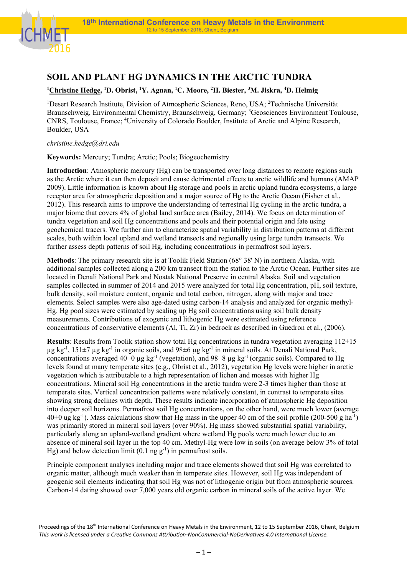

## **SOIL AND PLANT HG DYNAMICS IN THE ARCTIC TUNDRA**

## <sup>1</sup>Christine Hedge, <sup>1</sup>D. Obrist, <sup>1</sup>Y. Agnan, <sup>1</sup>C. Moore, <sup>2</sup>H. Biester, <sup>3</sup>M. Jiskra, <sup>4</sup>D. Helmig

<sup>1</sup>Desert Research Institute, Division of Atmospheric Sciences, Reno, USA; <sup>2</sup>Technische Universität Braunschweig, Environmental Chemistry, Braunschweig, Germany; <sup>3</sup>Geosciences Environment Toulouse, CNRS, Toulouse, France; 4 University of Colorado Boulder, Institute of Arctic and Alpine Research, Boulder, USA

## *christine.hedge@dri.edu*

**Keywords:** Mercury; Tundra; Arctic; Pools; Biogeochemistry

**Introduction**: Atmospheric mercury (Hg) can be transported over long distances to remote regions such as the Arctic where it can then deposit and cause detrimental effects to arctic wildlife and humans (AMAP 2009). Little information is known about Hg storage and pools in arctic upland tundra ecosystems, a large receptor area for atmospheric deposition and a major source of Hg to the Arctic Ocean (Fisher et al., 2012). This research aims to improve the understanding of terrestrial Hg cycling in the arctic tundra, a major biome that covers 4% of global land surface area (Bailey, 2014). We focus on determination of tundra vegetation and soil Hg concentrations and pools and their potential origin and fate using geochemical tracers. We further aim to characterize spatial variability in distribution patterns at different scales, both within local upland and wetland transects and regionally using large tundra transects. We further assess depth patterns of soil Hg, including concentrations in permafrost soil layers.

**Methods**: The primary research site is at Toolik Field Station (68° 38' N) in northern Alaska, with additional samples collected along a 200 km transect from the station to the Arctic Ocean. Further sites are located in Denali National Park and Noatak National Preserve in central Alaska. Soil and vegetation samples collected in summer of 2014 and 2015 were analyzed for total Hg concentration, pH, soil texture, bulk density, soil moisture content, organic and total carbon, nitrogen, along with major and trace elements. Select samples were also age-dated using carbon-14 analysis and analyzed for organic methyl-Hg. Hg pool sizes were estimated by scaling up Hg soil concentrations using soil bulk density measurements. Contributions of exogenic and lithogenic Hg were estimated using reference concentrations of conservative elements (Al, Ti, Zr) in bedrock as described in Guedron et al., (2006).

**Results**: Results from Toolik station show total Hg concentrations in tundra vegetation averaging 112±15  $\mu$ g kg<sup>-1</sup>, 151 $\pm$ 7  $\mu$ g kg<sup>-1</sup> in organic soils, and 98 $\pm$ 6  $\mu$ g kg<sup>-1</sup> in mineral soils. At Denali National Park, concentrations averaged  $40\pm0$  µg kg<sup>-1</sup> (vegetation), and  $98\pm8$  µg kg<sup>-1</sup> (organic soils). Compared to Hg levels found at many temperate sites (e.g., Obrist et al., 2012), vegetation Hg levels were higher in arctic vegetation which is attributable to a high representation of lichen and mosses with higher Hg concentrations. Mineral soil Hg concentrations in the arctic tundra were 2-3 times higher than those at temperate sites. Vertical concentration patterns were relatively constant, in contrast to temperate sites showing strong declines with depth. These results indicate incorporation of atmospheric Hg deposition into deeper soil horizons. Permafrost soil Hg concentrations, on the other hand, were much lower (average  $40±0$  ug kg<sup>-1</sup>). Mass calculations show that Hg mass in the upper 40 cm of the soil profile (200-500 g ha<sup>-1</sup>) was primarily stored in mineral soil layers (over 90%). Hg mass showed substantial spatial variability, particularly along an upland-wetland gradient where wetland Hg pools were much lower due to an absence of mineral soil layer in the top 40 cm. Methyl-Hg were low in soils (on average below 3% of total Hg) and below detection limit  $(0.1 \text{ ng g}^{-1})$  in permafrost soils.

Principle component analyses including major and trace elements showed that soil Hg was correlated to organic matter, although much weaker than in temperate sites. However, soil Hg was independent of geogenic soil elements indicating that soil Hg was not of lithogenic origin but from atmospheric sources. Carbon-14 dating showed over 7,000 years old organic carbon in mineral soils of the active layer. We

Proceedings of the 18<sup>th</sup> International Conference on Heavy Metals in the Environment, 12 to 15 September 2016, Ghent, Belgium This work is licensed under a Creative Commons Attribution-NonCommercial-NoDerivatives 4.0 International License.